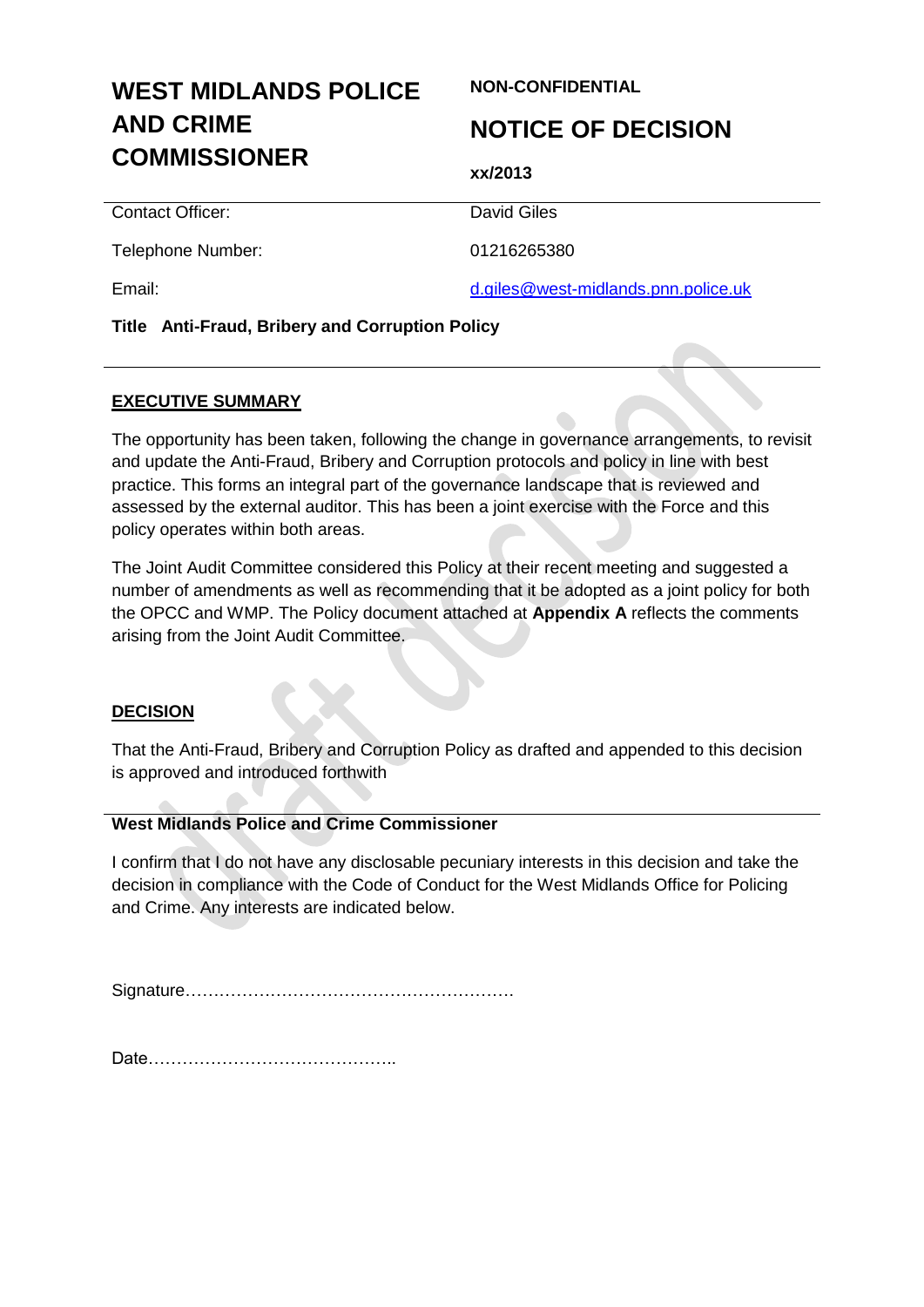# **WEST MIDLANDS POLICE AND CRIME COMMISSIONER**

#### **NON-CONFIDENTIAL**

## **NOTICE OF DECISION**

**xx/2013**

| Contact Officer:  | David Giles                         |
|-------------------|-------------------------------------|
| Telephone Number: | 01216265380                         |
| Email:            | d.giles@west-midlands.pnn.police.uk |

#### **Title Anti-Fraud, Bribery and Corruption Policy**

#### **EXECUTIVE SUMMARY**

The opportunity has been taken, following the change in governance arrangements, to revisit and update the Anti-Fraud, Bribery and Corruption protocols and policy in line with best practice. This forms an integral part of the governance landscape that is reviewed and assessed by the external auditor. This has been a joint exercise with the Force and this policy operates within both areas.

The Joint Audit Committee considered this Policy at their recent meeting and suggested a number of amendments as well as recommending that it be adopted as a joint policy for both the OPCC and WMP. The Policy document attached at **Appendix A** reflects the comments arising from the Joint Audit Committee.

#### **DECISION**

That the Anti-Fraud, Bribery and Corruption Policy as drafted and appended to this decision is approved and introduced forthwith

#### **West Midlands Police and Crime Commissioner**

I confirm that I do not have any disclosable pecuniary interests in this decision and take the decision in compliance with the Code of Conduct for the West Midlands Office for Policing and Crime. Any interests are indicated below.

Signature………………………………………………….

Date……………………………………..